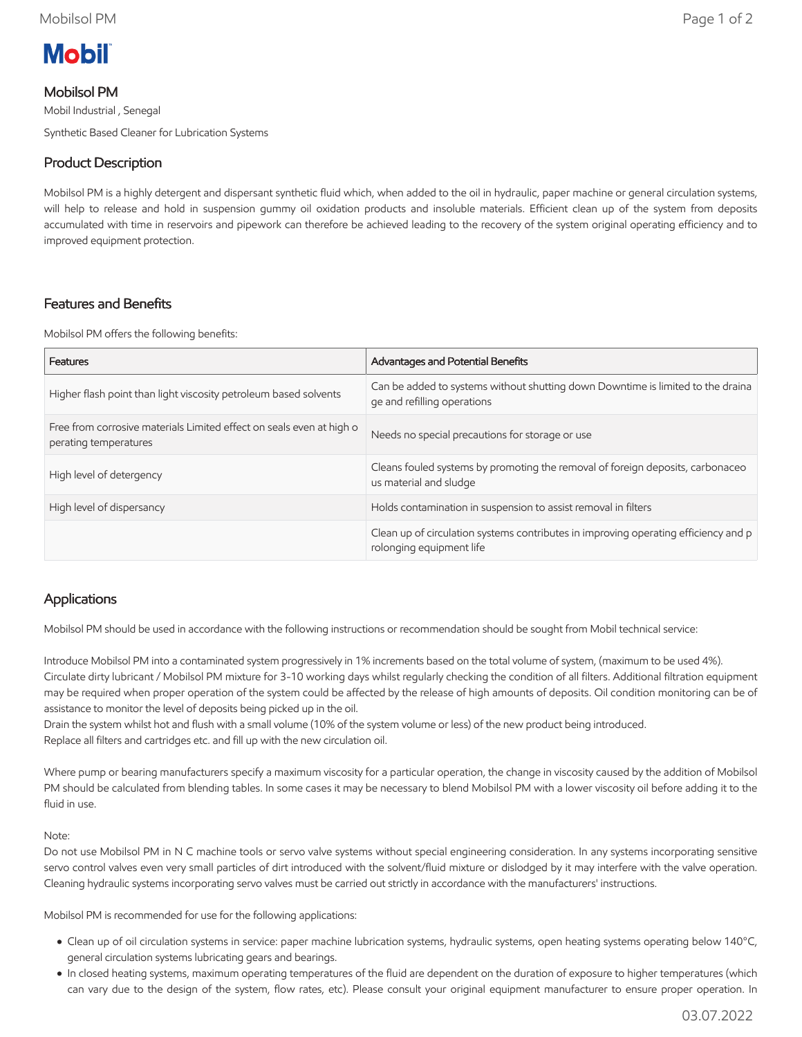

## Mobilsol PM

Mobil Industrial , Senegal Synthetic Based Cleaner for Lubrication Systems

# Product Description

Mobilsol PM is a highly detergent and dispersant synthetic fluid which, when added to the oil in hydraulic, paper machine or general circulation systems, will help to release and hold in suspension gummy oil oxidation products and insoluble materials. Efficient clean up of the system from deposits accumulated with time in reservoirs and pipework can therefore be achieved leading to the recovery of the system original operating efficiency and to improved equipment protection.

## Features and Benefits

Mobilsol PM offers the following benefits:

| Features                                                                                      | Advantages and Potential Benefits                                                                               |
|-----------------------------------------------------------------------------------------------|-----------------------------------------------------------------------------------------------------------------|
| Higher flash point than light viscosity petroleum based solvents                              | Can be added to systems without shutting down Downtime is limited to the draina<br>ge and refilling operations  |
| Free from corrosive materials Limited effect on seals even at high o<br>perating temperatures | Needs no special precautions for storage or use                                                                 |
| High level of detergency                                                                      | Cleans fouled systems by promoting the removal of foreign deposits, carbonaceo<br>us material and sludge        |
| High level of dispersancy                                                                     | Holds contamination in suspension to assist removal in filters                                                  |
|                                                                                               | Clean up of circulation systems contributes in improving operating efficiency and p<br>rolonging equipment life |

## Applications

Mobilsol PM should be used in accordance with the following instructions or recommendation should be sought from Mobil technical service:

Introduce Mobilsol PM into a contaminated system progressively in 1% increments based on the total volume of system, (maximum to be used 4%). Circulate dirty lubricant / Mobilsol PM mixture for 3-10 working days whilst regularly checking the condition of all filters. Additional filtration equipment may be required when proper operation of the system could be affected by the release of high amounts of deposits. Oil condition monitoring can be of assistance to monitor the level of deposits being picked up in the oil.

Drain the system whilst hot and flush with a small volume (10% of the system volume or less) of the new product being introduced. Replace all filters and cartridges etc. and fill up with the new circulation oil.

Where pump or bearing manufacturers specify a maximum viscosity for a particular operation, the change in viscosity caused by the addition of Mobilsol PM should be calculated from blending tables. In some cases it may be necessary to blend Mobilsol PM with a lower viscosity oil before adding it to the fluid in use.

#### Note:

Do not use Mobilsol PM in N C machine tools or servo valve systems without special engineering consideration. In any systems incorporating sensitive servo control valves even very small particles of dirt introduced with the solvent/fluid mixture or dislodged by it may interfere with the valve operation. Cleaning hydraulic systems incorporating servo valves must be carried out strictly in accordance with the manufacturers' instructions.

Mobilsol PM is recommended for use for the following applications:

- Clean up of oil circulation systems in service: paper machine lubrication systems, hydraulic systems, open heating systems operating below 140°C, general circulation systems lubricating gears and bearings.
- In closed heating systems, maximum operating temperatures of the fluid are dependent on the duration of exposure to higher temperatures (which can vary due to the design of the system, flow rates, etc). Please consult your original equipment manufacturer to ensure proper operation. In